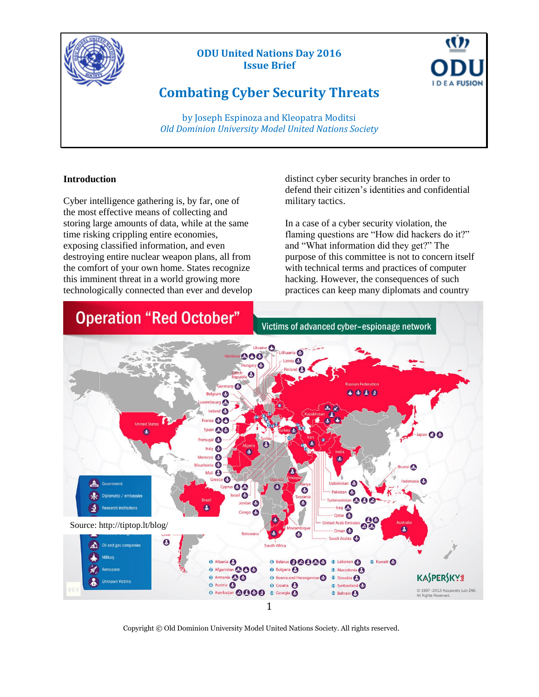

# **ODU United Nations Day 2016 Issue Brief**



by Joseph Espinoza and Kleopatra Moditsi *Old Dominion University Model United Nations Society*

## **Introduction**

Cyber intelligence gathering is, by far, one of the most effective means of collecting and storing large amounts of data, while at the same time risking crippling entire economies, exposing classified information, and even destroying entire nuclear weapon plans, all from the comfort of your own home. States recognize this imminent threat in a world growing more technologically connected than ever and develop distinct cyber security branches in order to defend their citizen's identities and confidential military tactics.

U

**E A FUSION** 

In a case of a cyber security violation, the flaming questions are "How did hackers do it?" and "What information did they get?" The purpose of this committee is not to concern itself with technical terms and practices of computer hacking. However, the consequences of such practices can keep many diplomats and country



Copyright © Old Dominion University Model United Nations Society. All rights reserved.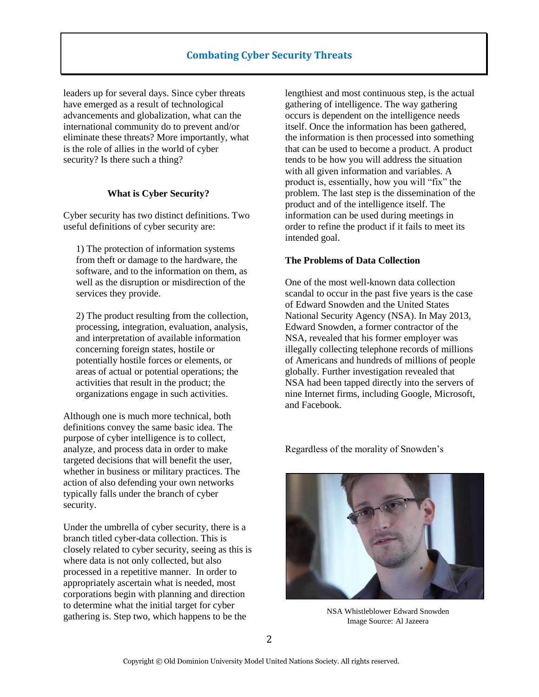leaders up for several days. Since cyber threats have emerged as a result of technological advancements and globalization, what can the international community do to prevent and/or eliminate these threats? More importantly, what is the role of allies in the world of cyber security? Is there such a thing?

## **What is Cyber Security?**

Cyber security has two distinct definitions. Two useful definitions of cyber security are:

1) The protection of information systems from theft or damage to the hardware, the software, and to the information on them, as well as the disruption or misdirection of the services they provide.

2) The product resulting from the collection, processing, integration, evaluation, analysis, and interpretation of available information concerning foreign states, hostile or potentially hostile forces or elements, or areas of actual or potential operations; the activities that result in the product; the organizations engage in such activities.

Although one is much more technical, both definitions convey the same basic idea. The purpose of cyber intelligence is to collect, analyze, and process data in order to make targeted decisions that will benefit the user, whether in business or military practices. The action of also defending your own networks typically falls under the branch of cyber security.

Under the umbrella of cyber security, there is a branch titled cyber-data collection. This is closely related to cyber security, seeing as this is where data is not only collected, but also processed in a repetitive manner. In order to appropriately ascertain what is needed, most corporations begin with planning and direction to determine what the initial target for cyber gathering is. Step two, which happens to be the

lengthiest and most continuous step, is the actual gathering of intelligence. The way gathering occurs is dependent on the intelligence needs itself. Once the information has been gathered, the information is then processed into something that can be used to become a product. A product tends to be how you will address the situation with all given information and variables. A product is, essentially, how you will "fix" the problem. The last step is the dissemination of the product and of the intelligence itself. The information can be used during meetings in order to refine the product if it fails to meet its intended goal.

## **The Problems of Data Collection**

One of the most well-known data collection scandal to occur in the past five years is the case of Edward Snowden and the United States National Security Agency (NSA). In May 2013, Edward Snowden, a former contractor of the NSA, revealed that his former employer was illegally collecting telephone records of millions of Americans and hundreds of millions of people globally. Further investigation revealed that NSA had been tapped directly into the servers of nine Internet firms, including Google, Microsoft, and Facebook.

Regardless of the morality of Snowden's



NSA Whistleblower Edward Snowden Image Source: Al Jazeera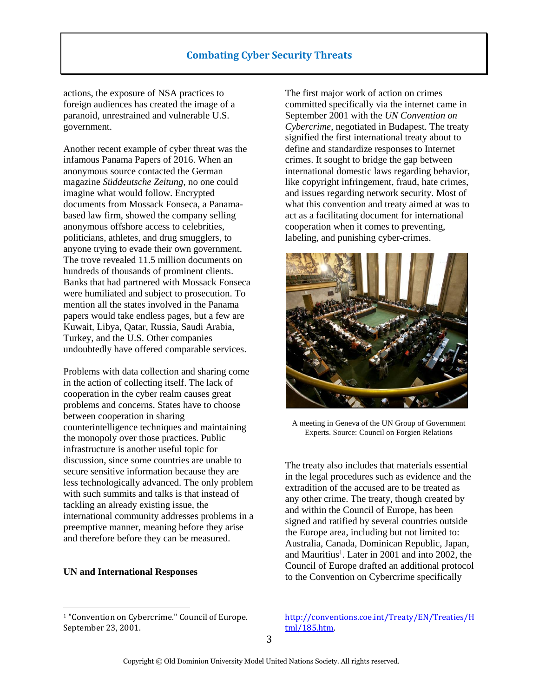## **Combating Cyber Security Threats**

actions, the exposure of NSA practices to foreign audiences has created the image of a paranoid, unrestrained and vulnerable U.S. government.

Another recent example of cyber threat was the infamous Panama Papers of 2016. When an anonymous source contacted the German magazine *Süddeutsche Zeitung*, no one could imagine what would follow. Encrypted documents from Mossack Fonseca, a Panamabased law firm, showed the company selling anonymous offshore access to celebrities, politicians, athletes, and drug smugglers, to anyone trying to evade their own government. The trove revealed 11.5 million documents on hundreds of thousands of prominent clients. Banks that had partnered with Mossack Fonseca were humiliated and subject to prosecution. To mention all the states involved in the Panama papers would take endless pages, but a few are Kuwait, Libya, Qatar, Russia, Saudi Arabia, Turkey, and the U.S. Other companies undoubtedly have offered comparable services.

Problems with data collection and sharing come in the action of collecting itself. The lack of cooperation in the cyber realm causes great problems and concerns. States have to choose between cooperation in sharing counterintelligence techniques and maintaining the monopoly over those practices. Public infrastructure is another useful topic for discussion, since some countries are unable to secure sensitive information because they are less technologically advanced. The only problem with such summits and talks is that instead of tackling an already existing issue, the international community addresses problems in a preemptive manner, meaning before they arise and therefore before they can be measured.

## **UN and International Responses**

 $\overline{\phantom{a}}$ 

<sup>1</sup> "Convention on Cybercrime." Council of Europe. September 23, 2001.

The first major work of action on crimes committed specifically via the internet came in September 2001 with the *UN Convention on Cybercrime*, negotiated in Budapest. The treaty signified the first international treaty about to define and standardize responses to Internet crimes. It sought to bridge the gap between international domestic laws regarding behavior, like copyright infringement, fraud, hate crimes, and issues regarding network security. Most of what this convention and treaty aimed at was to act as a facilitating document for international cooperation when it comes to preventing, labeling, and punishing cyber-crimes.



A meeting in Geneva of the UN Group of Government Experts. Source: Council on Forgien Relations

The treaty also includes that materials essential in the legal procedures such as evidence and the extradition of the accused are to be treated as any other crime. The treaty, though created by and within the Council of Europe, has been signed and ratified by several countries outside the Europe area, including but not limited to: Australia, Canada, Dominican Republic, Japan, and Mauritius<sup>1</sup>. Later in 2001 and into 2002, the Council of Europe drafted an additional protocol to the Convention on Cybercrime specifically

[http://conventions.coe.int/Treaty/EN/Treaties/H](http://conventions.coe.int/Treaty/EN/Treaties/Html/185.htm) [tml/185.htm.](http://conventions.coe.int/Treaty/EN/Treaties/Html/185.htm)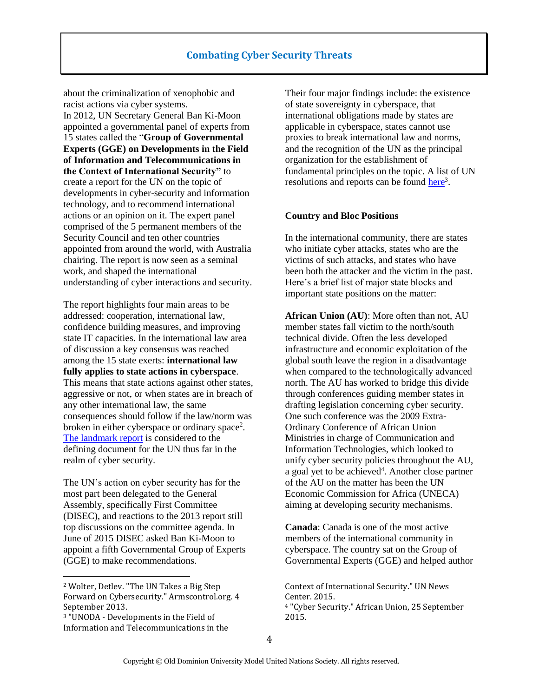about the criminalization of xenophobic and racist actions via cyber systems. In 2012, UN Secretary General Ban Ki-Moon appointed a governmental panel of experts from 15 states called the "**Group of Governmental** 

**Experts (GGE) on Developments in the Field of Information and Telecommunications in the Context of International Security"** to create a report for the UN on the topic of developments in cyber-security and information technology, and to recommend international actions or an opinion on it. The expert panel comprised of the 5 permanent members of the Security Council and ten other countries appointed from around the world, with Australia chairing. The report is now seen as a seminal work, and shaped the international understanding of cyber interactions and security.

The report highlights four main areas to be addressed: cooperation, international law, confidence building measures, and improving state IT capacities. In the international law area of discussion a key consensus was reached among the 15 state exerts: **international law fully applies to state actions in cyberspace**. This means that state actions against other states, aggressive or not, or when states are in breach of any other international law, the same consequences should follow if the law/norm was broken in either cyberspace or ordinary space<sup>2</sup>. [The landmark report](http://www.un.org/ga/search/view_doc.asp?symbol=A/68/98&referer=http://blogs.cfr.org/cyber/2015/04/13/the-uns-group-of-governmental-experts-on-cybersecurity/&Lang=E) is considered to the defining document for the UN thus far in the realm of cyber security.

The UN's action on cyber security has for the most part been delegated to the General Assembly, specifically First Committee (DISEC), and reactions to the 2013 report still top discussions on the committee agenda. In June of 2015 DISEC asked Ban Ki-Moon to appoint a fifth Governmental Group of Experts (GGE) to make recommendations.

 $\overline{\phantom{a}}$ 

Their four major findings include: the existence of state sovereignty in cyberspace, that international obligations made by states are applicable in cyberspace, states cannot use proxies to break international law and norms, and the recognition of the UN as the principal organization for the establishment of fundamental principles on the topic. A list of UN resolutions and reports can be found [here](https://www.un.org/disarmament/topics/informationsecurity/)<sup>3</sup>.

#### **Country and Bloc Positions**

In the international community, there are states who initiate cyber attacks, states who are the victims of such attacks, and states who have been both the attacker and the victim in the past. Here's a brief list of major state blocks and important state positions on the matter:

**African Union (AU)**: More often than not, AU member states fall victim to the north/south technical divide. Often the less developed infrastructure and economic exploitation of the global south leave the region in a disadvantage when compared to the technologically advanced north. The AU has worked to bridge this divide through conferences guiding member states in drafting legislation concerning cyber security. One such conference was the 2009 Extra-Ordinary Conference of African Union Ministries in charge of Communication and Information Technologies, which looked to unify cyber security policies throughout the AU, a goal yet to be achieved<sup>4</sup>. Another close partner of the AU on the matter has been the UN Economic Commission for Africa (UNECA) aiming at developing security mechanisms.

**Canada**: Canada is one of the most active members of the international community in cyberspace. The country sat on the Group of Governmental Experts (GGE) and helped author

Context of International Security." UN News Center. 2015. <sup>4</sup> "Cyber Security." African Union, 25 September 2015.

<sup>2</sup> Wolter, Detlev. "The UN Takes a Big Step Forward on Cybersecurity." Armscontrol.org. 4 September 2013.

<sup>3</sup> "UNODA - Developments in the Field of Information and Telecommunications in the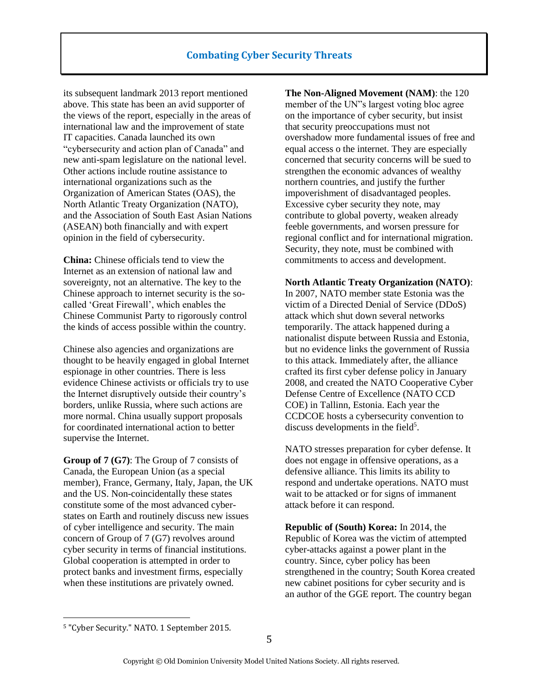its subsequent landmark 2013 report mentioned above. This state has been an avid supporter of the views of the report, especially in the areas of international law and the improvement of state IT capacities. Canada launched its own "cybersecurity and action plan of Canada" and new anti-spam legislature on the national level. Other actions include routine assistance to international organizations such as the Organization of American States (OAS), the North Atlantic Treaty Organization (NATO), and the Association of South East Asian Nations (ASEAN) both financially and with expert opinion in the field of cybersecurity.

**China:** Chinese officials tend to view the Internet as an extension of national law and sovereignty, not an alternative. The key to the Chinese approach to internet security is the socalled 'Great Firewall', which enables the Chinese Communist Party to rigorously control the kinds of access possible within the country.

Chinese also agencies and organizations are thought to be heavily engaged in global Internet espionage in other countries. There is less evidence Chinese activists or officials try to use the Internet disruptively outside their country's borders, unlike Russia, where such actions are more normal. China usually support proposals for coordinated international action to better supervise the Internet.

**Group of 7 (G7)**: The Group of 7 consists of Canada, the European Union (as a special member), France, Germany, Italy, Japan, the UK and the US. Non-coincidentally these states constitute some of the most advanced cyberstates on Earth and routinely discuss new issues of cyber intelligence and security. The main concern of Group of 7 (G7) revolves around cyber security in terms of financial institutions. Global cooperation is attempted in order to protect banks and investment firms, especially when these institutions are privately owned.

**The Non-Aligned Movement (NAM)**: the 120 member of the UN"s largest voting bloc agree on the importance of cyber security, but insist that security preoccupations must not overshadow more fundamental issues of free and equal access o the internet. They are especially concerned that security concerns will be sued to strengthen the economic advances of wealthy northern countries, and justify the further impoverishment of disadvantaged peoples. Excessive cyber security they note, may contribute to global poverty, weaken already feeble governments, and worsen pressure for regional conflict and for international migration. Security, they note, must be combined with commitments to access and development.

#### **North Atlantic Treaty Organization (NATO)**:

In 2007, NATO member state Estonia was the victim of a Directed Denial of Service (DDoS) attack which shut down several networks temporarily. The attack happened during a nationalist dispute between Russia and Estonia, but no evidence links the government of Russia to this attack. Immediately after, the alliance crafted its first cyber defense policy in January 2008, and created the NATO Cooperative Cyber Defense Centre of Excellence (NATO CCD COE) in Tallinn, Estonia. Each year the CCDCOE hosts a cybersecurity convention to discuss developments in the field<sup>5</sup>.

NATO stresses preparation for cyber defense. It does not engage in offensive operations, as a defensive alliance. This limits its ability to respond and undertake operations. NATO must wait to be attacked or for signs of immanent attack before it can respond.

**Republic of (South) Korea:** In 2014, the Republic of Korea was the victim of attempted cyber-attacks against a power plant in the country. Since, cyber policy has been strengthened in the country; South Korea created new cabinet positions for cyber security and is an author of the GGE report. The country began

 $\overline{\phantom{a}}$ 

<sup>5</sup> "Cyber Security." NATO. 1 September 2015.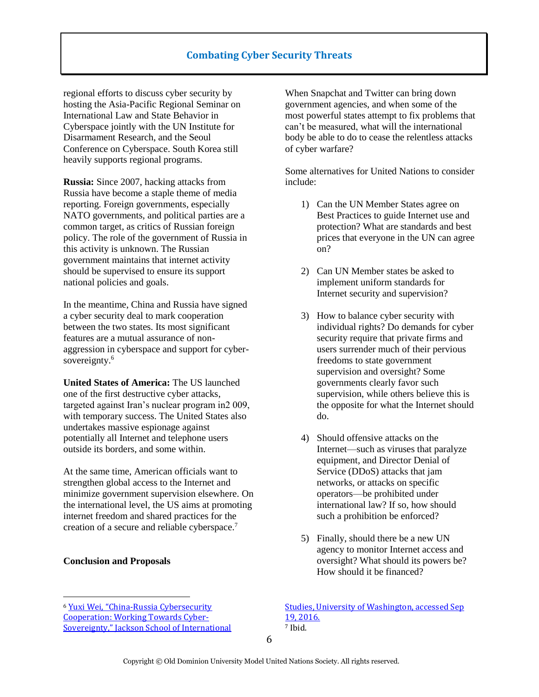## **Combating Cyber Security Threats**

regional efforts to discuss cyber security by hosting the Asia-Pacific Regional Seminar on International Law and State Behavior in Cyberspace jointly with the UN Institute for Disarmament Research, and the Seoul Conference on Cyberspace. South Korea still heavily supports regional programs.

**Russia:** Since 2007, hacking attacks from Russia have become a staple theme of media reporting. Foreign governments, especially NATO governments, and political parties are a common target, as critics of Russian foreign policy. The role of the government of Russia in this activity is unknown. The Russian government maintains that internet activity should be supervised to ensure its support national policies and goals.

In the meantime, China and Russia have signed a cyber security deal to mark cooperation between the two states. Its most significant features are a mutual assurance of nonaggression in cyberspace and support for cybersovereignty.<sup>6</sup>

**United States of America:** The US launched one of the first destructive cyber attacks, targeted against Iran's nuclear program in2 009, with temporary success. The United States also undertakes massive espionage against potentially all Internet and telephone users outside its borders, and some within.

At the same time, American officials want to strengthen global access to the Internet and minimize government supervision elsewhere. On the international level, the US aims at promoting internet freedom and shared practices for the creation of a secure and reliable cyberspace.<sup>7</sup>

### **Conclusion and Proposals**

 $\overline{\phantom{a}}$ 

When Snapchat and Twitter can bring down government agencies, and when some of the most powerful states attempt to fix problems that can't be measured, what will the international body be able to do to cease the relentless attacks of cyber warfare?

Some alternatives for United Nations to consider include:

- 1) Can the UN Member States agree on Best Practices to guide Internet use and protection? What are standards and best prices that everyone in the UN can agree on?
- 2) Can UN Member states be asked to implement uniform standards for Internet security and supervision?
- 3) How to balance cyber security with individual rights? Do demands for cyber security require that private firms and users surrender much of their pervious freedoms to state government supervision and oversight? Some governments clearly favor such supervision, while others believe this is the opposite for what the Internet should do.
- 4) Should offensive attacks on the Internet—such as viruses that paralyze equipment, and Director Denial of Service (DDoS) attacks that jam networks, or attacks on specific operators—be prohibited under international law? If so, how should such a prohibition be enforced?
- 5) Finally, should there be a new UN agency to monitor Internet access and oversight? What should its powers be? How should it be financed?

[Studies, University of Washington, accessed Sep](https://jsis.washington.edu/news/china-russia-cybersecurity-cooperation-working-towards-cyber-sovereignty/)  [19, 2016.](https://jsis.washington.edu/news/china-russia-cybersecurity-cooperation-working-towards-cyber-sovereignty/) <sup>7</sup> Ibid.

<sup>6</sup> Yuxi Wei, "China[-Russia Cybersecurity](https://jsis.washington.edu/news/china-russia-cybersecurity-cooperation-working-towards-cyber-sovereignty/)  [Cooperation: Working Towards Cyber-](https://jsis.washington.edu/news/china-russia-cybersecurity-cooperation-working-towards-cyber-sovereignty/)[Sovereignty," Jackson School of International](https://jsis.washington.edu/news/china-russia-cybersecurity-cooperation-working-towards-cyber-sovereignty/)